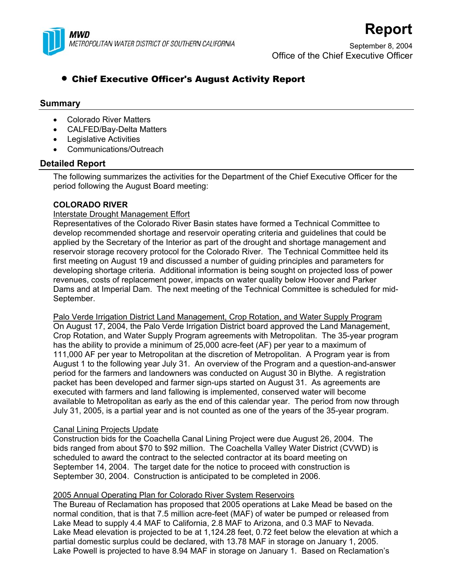

September 8, 2004 Office of the Chief Executive Officer

**Report**

# • Chief Executive Officer's August Activity Report

# **Summary**

- Colorado River Matters
- CALFED/Bay-Delta Matters
- Legislative Activities
- Communications/Outreach

# **Detailed Report**

The following summarizes the activities for the Department of the Chief Executive Officer for the period following the August Board meeting:

# **COLORADO RIVER**

# Interstate Drought Management Effort

Representatives of the Colorado River Basin states have formed a Technical Committee to develop recommended shortage and reservoir operating criteria and guidelines that could be applied by the Secretary of the Interior as part of the drought and shortage management and reservoir storage recovery protocol for the Colorado River. The Technical Committee held its first meeting on August 19 and discussed a number of guiding principles and parameters for developing shortage criteria. Additional information is being sought on projected loss of power revenues, costs of replacement power, impacts on water quality below Hoover and Parker Dams and at Imperial Dam. The next meeting of the Technical Committee is scheduled for mid-September.

Palo Verde Irrigation District Land Management, Crop Rotation, and Water Supply Program On August 17, 2004, the Palo Verde Irrigation District board approved the Land Management, Crop Rotation, and Water Supply Program agreements with Metropolitan. The 35-year program has the ability to provide a minimum of 25,000 acre-feet (AF) per year to a maximum of 111,000 AF per year to Metropolitan at the discretion of Metropolitan. A Program year is from August 1 to the following year July 31. An overview of the Program and a question-and-answer period for the farmers and landowners was conducted on August 30 in Blythe. A registration packet has been developed and farmer sign-ups started on August 31. As agreements are executed with farmers and land fallowing is implemented, conserved water will become available to Metropolitan as early as the end of this calendar year. The period from now through July 31, 2005, is a partial year and is not counted as one of the years of the 35-year program.

# Canal Lining Projects Update

Construction bids for the Coachella Canal Lining Project were due August 26, 2004. The bids ranged from about \$70 to \$92 million. The Coachella Valley Water District (CVWD) is scheduled to award the contract to the selected contractor at its board meeting on September 14, 2004. The target date for the notice to proceed with construction is September 30, 2004. Construction is anticipated to be completed in 2006.

# 2005 Annual Operating Plan for Colorado River System Reservoirs

The Bureau of Reclamation has proposed that 2005 operations at Lake Mead be based on the normal condition, that is that 7.5 million acre-feet (MAF) of water be pumped or released from Lake Mead to supply 4.4 MAF to California, 2.8 MAF to Arizona, and 0.3 MAF to Nevada. Lake Mead elevation is projected to be at 1,124.28 feet, 0.72 feet below the elevation at which a partial domestic surplus could be declared, with 13.78 MAF in storage on January 1, 2005. Lake Powell is projected to have 8.94 MAF in storage on January 1. Based on Reclamation's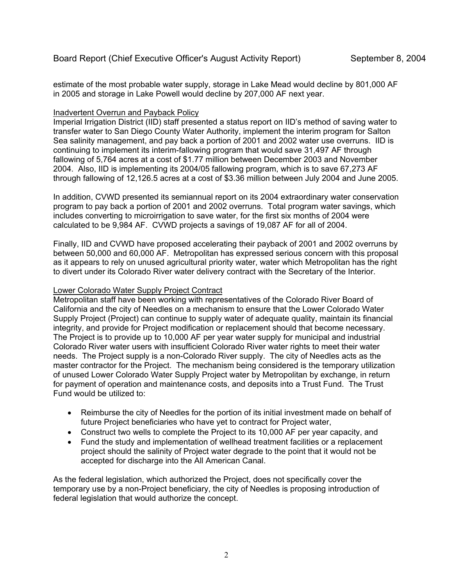estimate of the most probable water supply, storage in Lake Mead would decline by 801,000 AF in 2005 and storage in Lake Powell would decline by 207,000 AF next year.

# Inadvertent Overrun and Payback Policy

Imperial Irrigation District (IID) staff presented a status report on IID's method of saving water to transfer water to San Diego County Water Authority, implement the interim program for Salton Sea salinity management, and pay back a portion of 2001 and 2002 water use overruns. IID is continuing to implement its interim-fallowing program that would save 31,497 AF through fallowing of 5,764 acres at a cost of \$1.77 million between December 2003 and November 2004. Also, IID is implementing its 2004/05 fallowing program, which is to save 67,273 AF through fallowing of 12,126.5 acres at a cost of \$3.36 million between July 2004 and June 2005.

In addition, CVWD presented its semiannual report on its 2004 extraordinary water conservation program to pay back a portion of 2001 and 2002 overruns. Total program water savings, which includes converting to microirrigation to save water, for the first six months of 2004 were calculated to be 9,984 AF. CVWD projects a savings of 19,087 AF for all of 2004.

Finally, IID and CVWD have proposed accelerating their payback of 2001 and 2002 overruns by between 50,000 and 60,000 AF. Metropolitan has expressed serious concern with this proposal as it appears to rely on unused agricultural priority water, water which Metropolitan has the right to divert under its Colorado River water delivery contract with the Secretary of the Interior.

# Lower Colorado Water Supply Project Contract

Metropolitan staff have been working with representatives of the Colorado River Board of California and the city of Needles on a mechanism to ensure that the Lower Colorado Water Supply Project (Project) can continue to supply water of adequate quality, maintain its financial integrity, and provide for Project modification or replacement should that become necessary. The Project is to provide up to 10,000 AF per year water supply for municipal and industrial Colorado River water users with insufficient Colorado River water rights to meet their water needs. The Project supply is a non-Colorado River supply. The city of Needles acts as the master contractor for the Project. The mechanism being considered is the temporary utilization of unused Lower Colorado Water Supply Project water by Metropolitan by exchange, in return for payment of operation and maintenance costs, and deposits into a Trust Fund. The Trust Fund would be utilized to:

- Reimburse the city of Needles for the portion of its initial investment made on behalf of future Project beneficiaries who have yet to contract for Project water,
- Construct two wells to complete the Project to its 10,000 AF per year capacity, and
- Fund the study and implementation of wellhead treatment facilities or a replacement project should the salinity of Project water degrade to the point that it would not be accepted for discharge into the All American Canal.

As the federal legislation, which authorized the Project, does not specifically cover the temporary use by a non-Project beneficiary, the city of Needles is proposing introduction of federal legislation that would authorize the concept.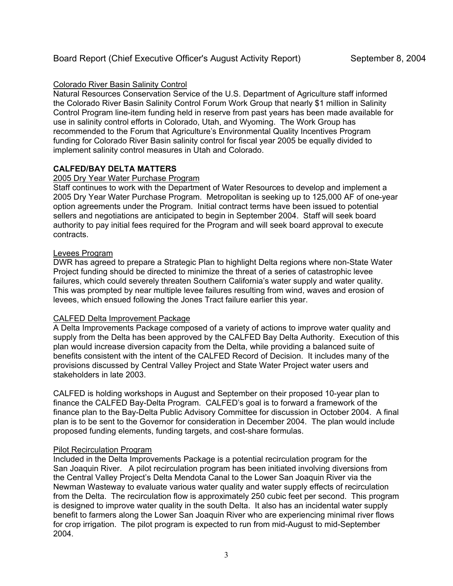# Colorado River Basin Salinity Control

Natural Resources Conservation Service of the U.S. Department of Agriculture staff informed the Colorado River Basin Salinity Control Forum Work Group that nearly \$1 million in Salinity Control Program line-item funding held in reserve from past years has been made available for use in salinity control efforts in Colorado, Utah, and Wyoming. The Work Group has recommended to the Forum that Agriculture's Environmental Quality Incentives Program funding for Colorado River Basin salinity control for fiscal year 2005 be equally divided to implement salinity control measures in Utah and Colorado.

# **CALFED/BAY DELTA MATTERS**

# 2005 Dry Year Water Purchase Program

Staff continues to work with the Department of Water Resources to develop and implement a 2005 Dry Year Water Purchase Program. Metropolitan is seeking up to 125,000 AF of one-year option agreements under the Program. Initial contract terms have been issued to potential sellers and negotiations are anticipated to begin in September 2004. Staff will seek board authority to pay initial fees required for the Program and will seek board approval to execute contracts.

#### Levees Program

DWR has agreed to prepare a Strategic Plan to highlight Delta regions where non-State Water Project funding should be directed to minimize the threat of a series of catastrophic levee failures, which could severely threaten Southern California's water supply and water quality. This was prompted by near multiple levee failures resulting from wind, waves and erosion of levees, which ensued following the Jones Tract failure earlier this year.

# CALFED Delta Improvement Package

A Delta Improvements Package composed of a variety of actions to improve water quality and supply from the Delta has been approved by the CALFED Bay Delta Authority. Execution of this plan would increase diversion capacity from the Delta, while providing a balanced suite of benefits consistent with the intent of the CALFED Record of Decision. It includes many of the provisions discussed by Central Valley Project and State Water Project water users and stakeholders in late 2003.

CALFED is holding workshops in August and September on their proposed 10-year plan to finance the CALFED Bay-Delta Program. CALFED's goal is to forward a framework of the finance plan to the Bay-Delta Public Advisory Committee for discussion in October 2004. A final plan is to be sent to the Governor for consideration in December 2004. The plan would include proposed funding elements, funding targets, and cost-share formulas.

# Pilot Recirculation Program

Included in the Delta Improvements Package is a potential recirculation program for the San Joaquin River. A pilot recirculation program has been initiated involving diversions from the Central Valley Project's Delta Mendota Canal to the Lower San Joaquin River via the Newman Wasteway to evaluate various water quality and water supply effects of recirculation from the Delta. The recirculation flow is approximately 250 cubic feet per second. This program is designed to improve water quality in the south Delta. It also has an incidental water supply benefit to farmers along the Lower San Joaquin River who are experiencing minimal river flows for crop irrigation. The pilot program is expected to run from mid-August to mid-September 2004.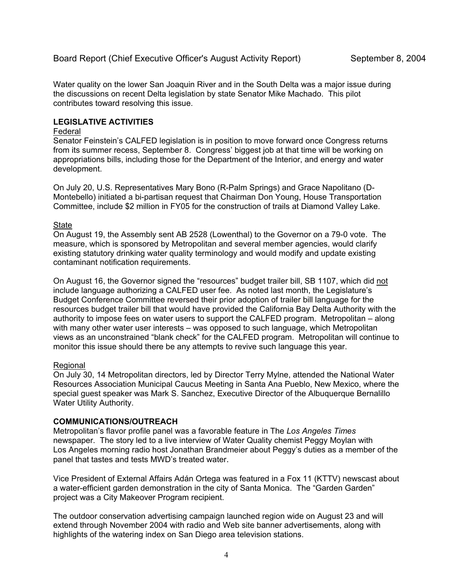Water quality on the lower San Joaquin River and in the South Delta was a major issue during the discussions on recent Delta legislation by state Senator Mike Machado. This pilot contributes toward resolving this issue.

### **LEGISLATIVE ACTIVITIES**

#### Federal

Senator Feinstein's CALFED legislation is in position to move forward once Congress returns from its summer recess, September 8. Congress' biggest job at that time will be working on appropriations bills, including those for the Department of the Interior, and energy and water development.

On July 20, U.S. Representatives Mary Bono (R-Palm Springs) and Grace Napolitano (D-Montebello) initiated a bi-partisan request that Chairman Don Young, House Transportation Committee, include \$2 million in FY05 for the construction of trails at Diamond Valley Lake.

#### State

On August 19, the Assembly sent AB 2528 (Lowenthal) to the Governor on a 79-0 vote. The measure, which is sponsored by Metropolitan and several member agencies, would clarify existing statutory drinking water quality terminology and would modify and update existing contaminant notification requirements.

On August 16, the Governor signed the "resources" budget trailer bill, SB 1107, which did not include language authorizing a CALFED user fee. As noted last month, the Legislature's Budget Conference Committee reversed their prior adoption of trailer bill language for the resources budget trailer bill that would have provided the California Bay Delta Authority with the authority to impose fees on water users to support the CALFED program. Metropolitan – along with many other water user interests – was opposed to such language, which Metropolitan views as an unconstrained "blank check" for the CALFED program. Metropolitan will continue to monitor this issue should there be any attempts to revive such language this year.

#### Regional

On July 30, 14 Metropolitan directors, led by Director Terry Mylne, attended the National Water Resources Association Municipal Caucus Meeting in Santa Ana Pueblo, New Mexico, where the special guest speaker was Mark S. Sanchez, Executive Director of the Albuquerque Bernalillo Water Utility Authority.

#### **COMMUNICATIONS/OUTREACH**

Metropolitan's flavor profile panel was a favorable feature in The *Los Angeles Times* newspaper. The story led to a live interview of Water Quality chemist Peggy Moylan with Los Angeles morning radio host Jonathan Brandmeier about Peggy's duties as a member of the panel that tastes and tests MWD's treated water.

Vice President of External Affairs Adán Ortega was featured in a Fox 11 (KTTV) newscast about a water-efficient garden demonstration in the city of Santa Monica. The "Garden Garden" project was a City Makeover Program recipient.

The outdoor conservation advertising campaign launched region wide on August 23 and will extend through November 2004 with radio and Web site banner advertisements, along with highlights of the watering index on San Diego area television stations.